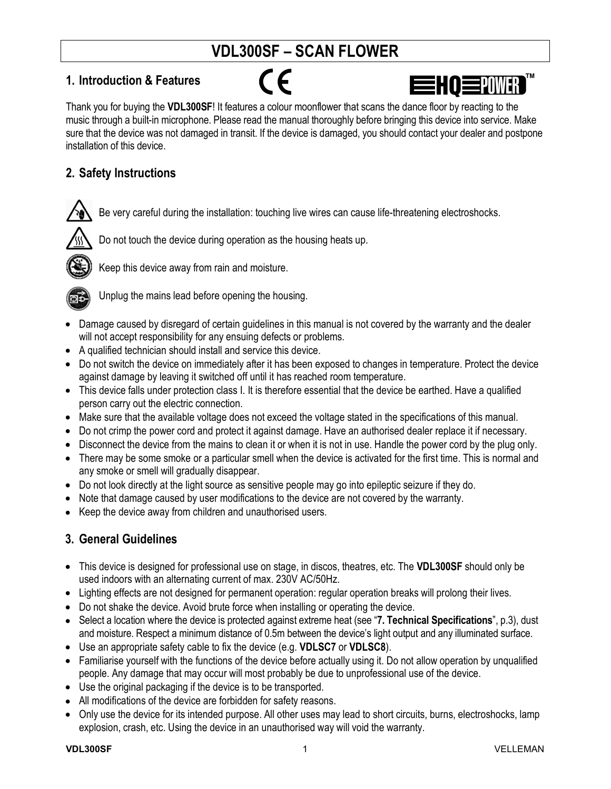# **VDL300SF – SCAN FLOWER**

## **1. Introduction & Features**

 $\epsilon$ 

EHO **EPOWER** 

Thank you for buying the **VDL300SF**! It features a colour moonflower that scans the dance floor by reacting to the music through a built-in microphone. Please read the manual thoroughly before bringing this device into service. Make sure that the device was not damaged in transit. If the device is damaged, you should contact your dealer and postpone installation of this device.

## **2. Safety Instructions**



Be very careful during the installation: touching live wires can cause life-threatening electroshocks.



Do not touch the device during operation as the housing heats up.



Keep this device away from rain and moisture.



Unplug the mains lead before opening the housing.

- Damage caused by disregard of certain guidelines in this manual is not covered by the warranty and the dealer will not accept responsibility for any ensuing defects or problems.
- A qualified technician should install and service this device.
- Do not switch the device on immediately after it has been exposed to changes in temperature. Protect the device against damage by leaving it switched off until it has reached room temperature.
- This device falls under protection class I. It is therefore essential that the device be earthed. Have a qualified person carry out the electric connection.
- Make sure that the available voltage does not exceed the voltage stated in the specifications of this manual.
- Do not crimp the power cord and protect it against damage. Have an authorised dealer replace it if necessary.
- Disconnect the device from the mains to clean it or when it is not in use. Handle the power cord by the plug only.
- There may be some smoke or a particular smell when the device is activated for the first time. This is normal and any smoke or smell will gradually disappear.
- Do not look directly at the light source as sensitive people may go into epileptic seizure if they do.
- Note that damage caused by user modifications to the device are not covered by the warranty.
- Keep the device away from children and unauthorised users.

# **3. General Guidelines**

- This device is designed for professional use on stage, in discos, theatres, etc. The **VDL300SF** should only be used indoors with an alternating current of max. 230V AC/50Hz.
- Lighting effects are not designed for permanent operation: regular operation breaks will prolong their lives.
- Do not shake the device. Avoid brute force when installing or operating the device.
- Select a location where the device is protected against extreme heat (see "**7. Technical Specifications**", p.3), dust and moisture. Respect a minimum distance of 0.5m between the device's light output and any illuminated surface.
- Use an appropriate safety cable to fix the device (e.g. **VDLSC7** or **VDLSC8**).
- Familiarise yourself with the functions of the device before actually using it. Do not allow operation by unqualified people. Any damage that may occur will most probably be due to unprofessional use of the device.
- Use the original packaging if the device is to be transported.
- All modifications of the device are forbidden for safety reasons.
- Only use the device for its intended purpose. All other uses may lead to short circuits, burns, electroshocks, lamp explosion, crash, etc. Using the device in an unauthorised way will void the warranty.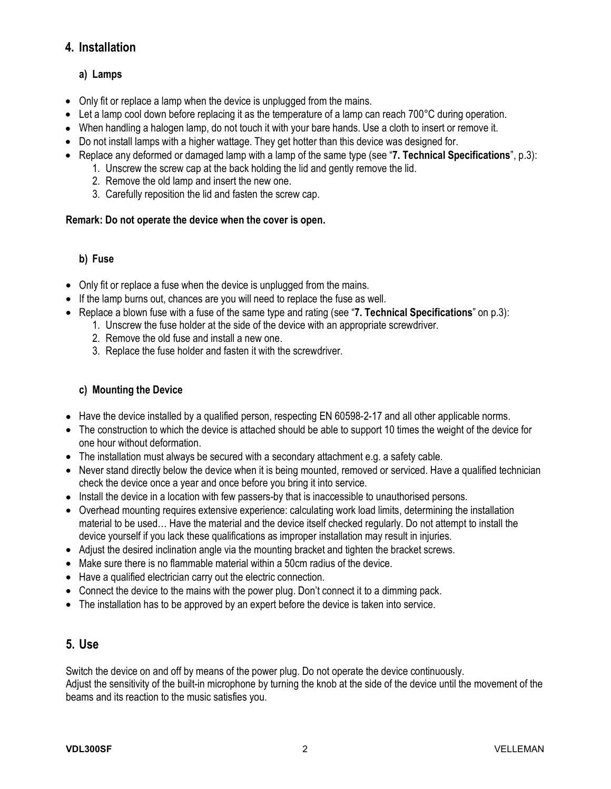## **4. Installation**

### **a) Lamps**

- Only fit or replace a lamp when the device is unplugged from the mains.
- Let a lamp cool down before replacing it as the temperature of a lamp can reach 700°C during operation.
- When handling a halogen lamp, do not touch it with your bare hands. Use a cloth to insert or remove it.
- Do not install lamps with a higher wattage. They get hotter than this device was designed for.
- Replace any deformed or damaged lamp with a lamp of the same type (see "**7. Technical Specifications**", p.3):
	- 1. Unscrew the screw cap at the back holding the lid and gently remove the lid.
	- 2. Remove the old lamp and insert the new one.
	- 3. Carefully reposition the lid and fasten the screw cap.

#### **Remark: Do not operate the device when the cover is open.**

#### **b) Fuse**

- Only fit or replace a fuse when the device is unplugged from the mains.
- If the lamp burns out, chances are you will need to replace the fuse as well.
- Replace a blown fuse with a fuse of the same type and rating (see "**7. Technical Specifications**" on p.3):
	- 1. Unscrew the fuse holder at the side of the device with an appropriate screwdriver.
		- 2. Remove the old fuse and install a new one.
		- 3. Replace the fuse holder and fasten it with the screwdriver.

#### **c) Mounting the Device**

- Have the device installed by a qualified person, respecting EN 60598-2-17 and all other applicable norms.
- The construction to which the device is attached should be able to support 10 times the weight of the device for one hour without deformation.
- The installation must always be secured with a secondary attachment e.g. a safety cable.
- Never stand directly below the device when it is being mounted, removed or serviced. Have a qualified technician check the device once a year and once before you bring it into service.
- Install the device in a location with few passers-by that is inaccessible to unauthorised persons.
- Overhead mounting requires extensive experience: calculating work load limits, determining the installation material to be used… Have the material and the device itself checked regularly. Do not attempt to install the device yourself if you lack these qualifications as improper installation may result in injuries.
- Adjust the desired inclination angle via the mounting bracket and tighten the bracket screws.
- Make sure there is no flammable material within a 50cm radius of the device.
- Have a qualified electrician carry out the electric connection.
- Connect the device to the mains with the power plug. Don't connect it to a dimming pack.
- The installation has to be approved by an expert before the device is taken into service.

#### **5. Use**

Switch the device on and off by means of the power plug. Do not operate the device continuously. Adjust the sensitivity of the built-in microphone by turning the knob at the side of the device until the movement of the beams and its reaction to the music satisfies you.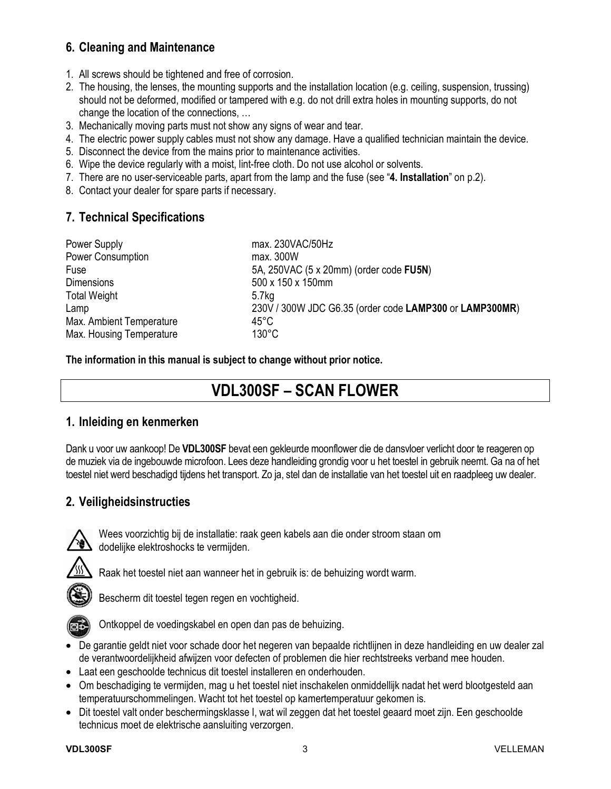## **6. Cleaning and Maintenance**

- 1. All screws should be tightened and free of corrosion.
- 2. The housing, the lenses, the mounting supports and the installation location (e.g. ceiling, suspension, trussing) should not be deformed, modified or tampered with e.g. do not drill extra holes in mounting supports, do not change the location of the connections, …
- 3. Mechanically moving parts must not show any signs of wear and tear.
- 4. The electric power supply cables must not show any damage. Have a qualified technician maintain the device.
- 5. Disconnect the device from the mains prior to maintenance activities.
- 6. Wipe the device regularly with a moist, lint-free cloth. Do not use alcohol or solvents.
- 7. There are no user-serviceable parts, apart from the lamp and the fuse (see "**4. Installation**" on p.2).
- 8. Contact your dealer for spare parts if necessary.

## **7. Technical Specifications**

| Power Supply             | max. 230VAC/50Hz                                        |
|--------------------------|---------------------------------------------------------|
| <b>Power Consumption</b> | max. 300W                                               |
| Fuse                     | 5A, 250VAC (5 x 20mm) (order code FU5N)                 |
| <b>Dimensions</b>        | 500 x 150 x 150mm                                       |
| <b>Total Weight</b>      | 5.7 <sub>kq</sub>                                       |
| Lamp                     | 230V / 300W JDC G6.35 (order code LAMP300 or LAMP300MR) |
| Max. Ambient Temperature | $45^{\circ}$ C                                          |
| Max. Housing Temperature | $130^{\circ}$ C                                         |

**The information in this manual is subject to change without prior notice.** 

# **VDL300SF – SCAN FLOWER**

## **1. Inleiding en kenmerken**

Dank u voor uw aankoop! De **VDL300SF** bevat een gekleurde moonflower die de dansvloer verlicht door te reageren op de muziek via de ingebouwde microfoon. Lees deze handleiding grondig voor u het toestel in gebruik neemt. Ga na of het toestel niet werd beschadigd tijdens het transport. Zo ja, stel dan de installatie van het toestel uit en raadpleeg uw dealer.

## **2. Veiligheidsinstructies**



Wees voorzichtig bij de installatie: raak geen kabels aan die onder stroom staan om  $\Delta$  dodelijke elektroshocks te vermijden.



Raak het toestel niet aan wanneer het in gebruik is: de behuizing wordt warm.



Bescherm dit toestel tegen regen en vochtigheid.



Ontkoppel de voedingskabel en open dan pas de behuizing.

- De garantie geldt niet voor schade door het negeren van bepaalde richtlijnen in deze handleiding en uw dealer zal de verantwoordelijkheid afwijzen voor defecten of problemen die hier rechtstreeks verband mee houden.
- Laat een geschoolde technicus dit toestel installeren en onderhouden.
- Om beschadiging te vermijden, mag u het toestel niet inschakelen onmiddellijk nadat het werd blootgesteld aan temperatuurschommelingen. Wacht tot het toestel op kamertemperatuur gekomen is.
- Dit toestel valt onder beschermingsklasse I, wat wil zeggen dat het toestel geaard moet zijn. Een geschoolde technicus moet de elektrische aansluiting verzorgen.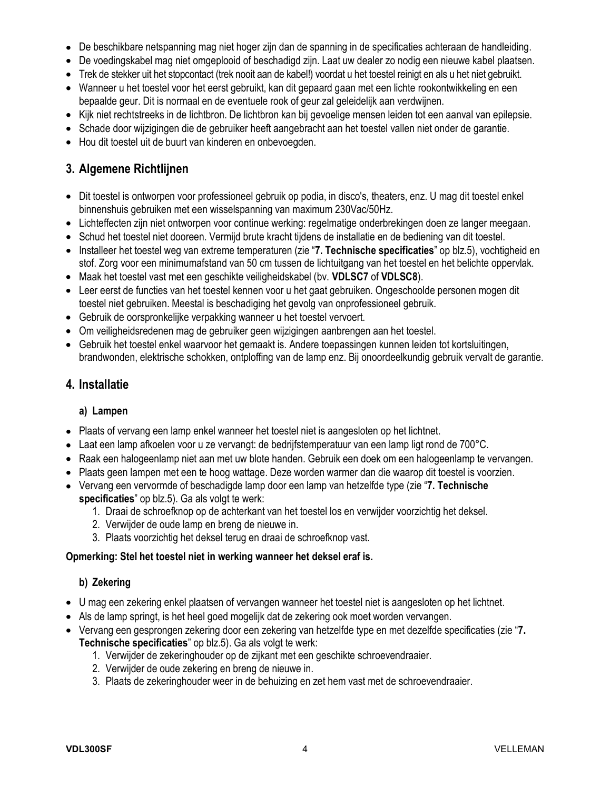- De beschikbare netspanning mag niet hoger zijn dan de spanning in de specificaties achteraan de handleiding.
- De voedingskabel mag niet omgeplooid of beschadigd zijn. Laat uw dealer zo nodig een nieuwe kabel plaatsen.
- Trek de stekker uit het stopcontact (trek nooit aan de kabel!) voordat u het toestel reinigt en als u het niet gebruikt.
- Wanneer u het toestel voor het eerst gebruikt, kan dit gepaard gaan met een lichte rookontwikkeling en een bepaalde geur. Dit is normaal en de eventuele rook of geur zal geleidelijk aan verdwijnen.
- Kijk niet rechtstreeks in de lichtbron. De lichtbron kan bij gevoelige mensen leiden tot een aanval van epilepsie.
- Schade door wijzigingen die de gebruiker heeft aangebracht aan het toestel vallen niet onder de garantie.
- Hou dit toestel uit de buurt van kinderen en onbevoegden.

## **3. Algemene Richtlijnen**

- Dit toestel is ontworpen voor professioneel gebruik op podia, in disco's, theaters, enz. U mag dit toestel enkel binnenshuis gebruiken met een wisselspanning van maximum 230Vac/50Hz.
- Lichteffecten zijn niet ontworpen voor continue werking: regelmatige onderbrekingen doen ze langer meegaan.
- Schud het toestel niet dooreen. Vermijd brute kracht tijdens de installatie en de bediening van dit toestel.
- Installeer het toestel weg van extreme temperaturen (zie "**7. Technische specificaties**" op blz.5), vochtigheid en stof. Zorg voor een minimumafstand van 50 cm tussen de lichtuitgang van het toestel en het belichte oppervlak.
- Maak het toestel vast met een geschikte veiligheidskabel (bv. **VDLSC7** of **VDLSC8**).
- Leer eerst de functies van het toestel kennen voor u het gaat gebruiken. Ongeschoolde personen mogen dit toestel niet gebruiken. Meestal is beschadiging het gevolg van onprofessioneel gebruik.
- Gebruik de oorspronkelijke verpakking wanneer u het toestel vervoert.
- Om veiligheidsredenen mag de gebruiker geen wijzigingen aanbrengen aan het toestel.
- Gebruik het toestel enkel waarvoor het gemaakt is. Andere toepassingen kunnen leiden tot kortsluitingen, brandwonden, elektrische schokken, ontploffing van de lamp enz. Bij onoordeelkundig gebruik vervalt de garantie.

## **4. Installatie**

#### **a) Lampen**

- Plaats of vervang een lamp enkel wanneer het toestel niet is aangesloten op het lichtnet.
- Laat een lamp afkoelen voor u ze vervangt: de bedrijfstemperatuur van een lamp ligt rond de 700°C.
- Raak een halogeenlamp niet aan met uw blote handen. Gebruik een doek om een halogeenlamp te vervangen.
- Plaats geen lampen met een te hoog wattage. Deze worden warmer dan die waarop dit toestel is voorzien.
- Vervang een vervormde of beschadigde lamp door een lamp van hetzelfde type (zie "**7. Technische specificaties**" op blz.5). Ga als volgt te werk:
	- 1. Draai de schroefknop op de achterkant van het toestel los en verwijder voorzichtig het deksel.
	- 2. Verwijder de oude lamp en breng de nieuwe in.
	- 3. Plaats voorzichtig het deksel terug en draai de schroefknop vast.

#### **Opmerking: Stel het toestel niet in werking wanneer het deksel eraf is.**

#### **b) Zekering**

- U mag een zekering enkel plaatsen of vervangen wanneer het toestel niet is aangesloten op het lichtnet.
- Als de lamp springt, is het heel goed mogelijk dat de zekering ook moet worden vervangen.
- Vervang een gesprongen zekering door een zekering van hetzelfde type en met dezelfde specificaties (zie "**7. Technische specificaties**" op blz.5). Ga als volgt te werk:
	- 1. Verwijder de zekeringhouder op de zijkant met een geschikte schroevendraaier.
	- 2. Verwijder de oude zekering en breng de nieuwe in.
	- 3. Plaats de zekeringhouder weer in de behuizing en zet hem vast met de schroevendraaier.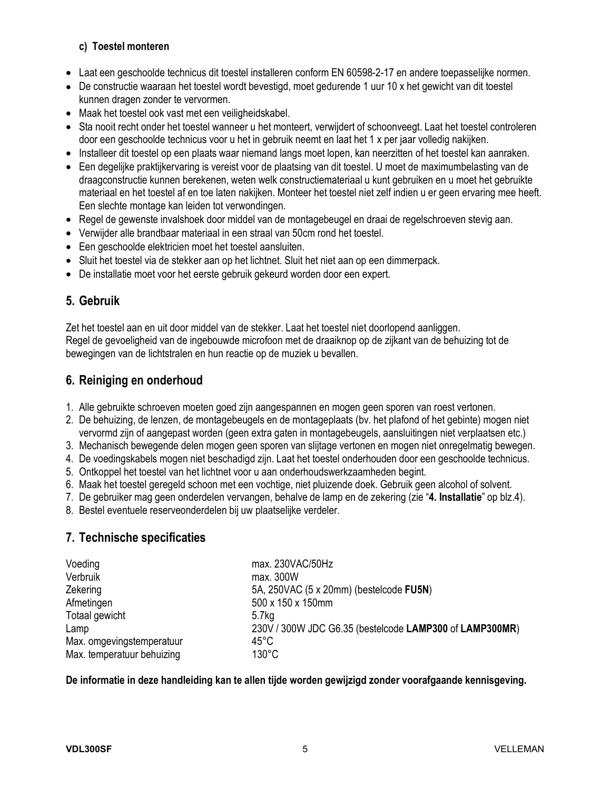#### **c) Toestel monteren**

- Laat een geschoolde technicus dit toestel installeren conform EN 60598-2-17 en andere toepasselijke normen.
- De constructie waaraan het toestel wordt bevestigd, moet gedurende 1 uur 10 x het gewicht van dit toestel kunnen dragen zonder te vervormen.
- Maak het toestel ook vast met een veiligheidskabel.
- Sta nooit recht onder het toestel wanneer u het monteert, verwijdert of schoonveegt. Laat het toestel controleren door een geschoolde technicus voor u het in gebruik neemt en laat het 1 x per jaar volledig nakijken.
- Installeer dit toestel op een plaats waar niemand langs moet lopen, kan neerzitten of het toestel kan aanraken.
- Een degelijke praktijkervaring is vereist voor de plaatsing van dit toestel. U moet de maximumbelasting van de draagconstructie kunnen berekenen, weten welk constructiemateriaal u kunt gebruiken en u moet het gebruikte materiaal en het toestel af en toe laten nakijken. Monteer het toestel niet zelf indien u er geen ervaring mee heeft. Een slechte montage kan leiden tot verwondingen.
- Regel de gewenste invalshoek door middel van de montagebeugel en draai de regelschroeven stevig aan.
- Verwijder alle brandbaar materiaal in een straal van 50cm rond het toestel.
- Een geschoolde elektricien moet het toestel aansluiten.
- Sluit het toestel via de stekker aan op het lichtnet. Sluit het niet aan op een dimmerpack.
- De installatie moet voor het eerste gebruik gekeurd worden door een expert.

## **5. Gebruik**

Zet het toestel aan en uit door middel van de stekker. Laat het toestel niet doorlopend aanliggen. Regel de gevoeligheid van de ingebouwde microfoon met de draaiknop op de zijkant van de behuizing tot de bewegingen van de lichtstralen en hun reactie op de muziek u bevallen.

## **6. Reiniging en onderhoud**

- 1. Alle gebruikte schroeven moeten goed zijn aangespannen en mogen geen sporen van roest vertonen.
- 2. De behuizing, de lenzen, de montagebeugels en de montageplaats (bv. het plafond of het gebinte) mogen niet vervormd zijn of aangepast worden (geen extra gaten in montagebeugels, aansluitingen niet verplaatsen etc.)
- 3. Mechanisch bewegende delen mogen geen sporen van slijtage vertonen en mogen niet onregelmatig bewegen.
- 4. De voedingskabels mogen niet beschadigd zijn. Laat het toestel onderhouden door een geschoolde technicus.
- 5. Ontkoppel het toestel van het lichtnet voor u aan onderhoudswerkzaamheden begint.
- 6. Maak het toestel geregeld schoon met een vochtige, niet pluizende doek. Gebruik geen alcohol of solvent.
- 7. De gebruiker mag geen onderdelen vervangen, behalve de lamp en de zekering (zie "**4. Installatie**" op blz.4).
- 8. Bestel eventuele reserveonderdelen bij uw plaatselijke verdeler.

## **7. Technische specificaties**

| Voeding                    | max. 230VAC/50Hz                                        |
|----------------------------|---------------------------------------------------------|
| Verbruik                   | max. 300W                                               |
| Zekering                   | 5A, 250VAC (5 x 20mm) (bestelcode FU5N)                 |
| Afmetingen                 | 500 x 150 x 150mm                                       |
| Totaal gewicht             | 5.7 <sub>kq</sub>                                       |
| Lamp                       | 230V / 300W JDC G6.35 (bestelcode LAMP300 of LAMP300MR) |
| Max. omgevingstemperatuur  | 45°C                                                    |
| Max. temperatuur behuizing | $130^{\circ}$ C                                         |

**De informatie in deze handleiding kan te allen tijde worden gewijzigd zonder voorafgaande kennisgeving.**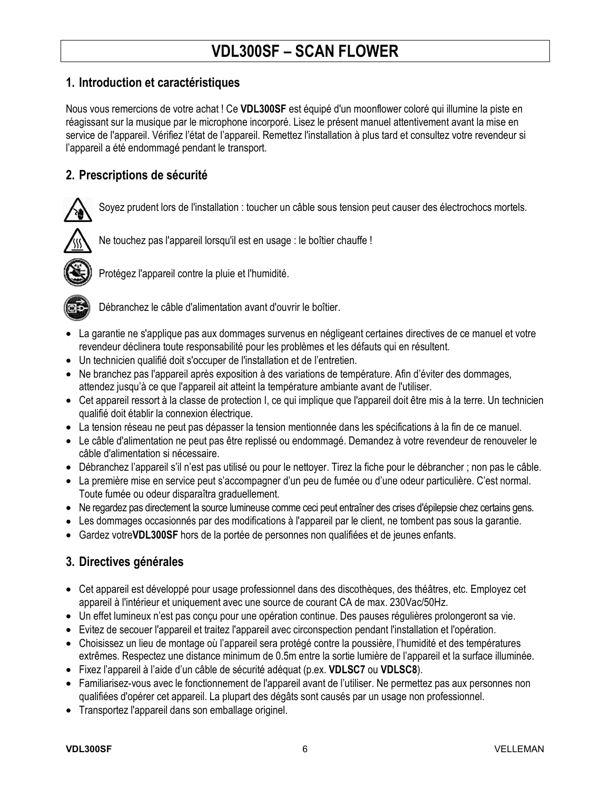# **VDL300SF – SCAN FLOWER**

### **1. Introduction et caractéristiques**

Nous vous remercions de votre achat ! Ce **VDL300SF** est équipé d'un moonflower coloré qui illumine la piste en réagissant sur la musique par le microphone incorporé. Lisez le présent manuel attentivement avant la mise en service de l'appareil. Vérifiez l'état de l'appareil. Remettez l'installation à plus tard et consultez votre revendeur si l'appareil a été endommagé pendant le transport.

## **2. Prescriptions de sécurité**

Soyez prudent lors de l'installation : toucher un câble sous tension peut causer des électrochocs mortels.



Ne touchez pas l'appareil lorsqu'il est en usage : le boîtier chauffe !



Protégez l'appareil contre la pluie et l'humidité.



Débranchez le câble d'alimentation avant d'ouvrir le boîtier.

- La garantie ne s'applique pas aux dommages survenus en négligeant certaines directives de ce manuel et votre revendeur déclinera toute responsabilité pour les problèmes et les défauts qui en résultent.
- Un technicien qualifié doit s'occuper de l'installation et de l'entretien.
- Ne branchez pas l'appareil après exposition à des variations de température. Afin d'éviter des dommages, attendez jusqu'à ce que l'appareil ait atteint la température ambiante avant de l'utiliser.
- Cet appareil ressort à la classe de protection I, ce qui implique que l'appareil doit être mis à la terre. Un technicien qualifié doit établir la connexion électrique.
- La tension réseau ne peut pas dépasser la tension mentionnée dans les spécifications à la fin de ce manuel.
- Le câble d'alimentation ne peut pas être replissé ou endommagé. Demandez à votre revendeur de renouveler le câble d'alimentation si nécessaire.
- Débranchez l'appareil s'il n'est pas utilisé ou pour le nettoyer. Tirez la fiche pour le débrancher ; non pas le câble.
- La première mise en service peut s'accompagner d'un peu de fumée ou d'une odeur particulière. C'est normal. Toute fumée ou odeur disparaîtra graduellement.
- Ne regardez pas directement la source lumineuse comme ceci peut entraîner des crises d'épilepsie chez certains gens.
- Les dommages occasionnés par des modifications à l'appareil par le client, ne tombent pas sous la garantie.
- Gardez votre**VDL300SF** hors de la portée de personnes non qualifiées et de jeunes enfants.

## **3. Directives générales**

- Cet appareil est développé pour usage professionnel dans des discothèques, des théâtres, etc. Employez cet appareil à l'intérieur et uniquement avec une source de courant CA de max. 230Vac/50Hz.
- Un effet lumineux n'est pas conçu pour une opération continue. Des pauses régulières prolongeront sa vie.
- Evitez de secouer l'appareil et traitez l'appareil avec circonspection pendant l'installation et l'opération.
- Choisissez un lieu de montage où l'appareil sera protégé contre la poussière, l'humidité et des températures extrêmes. Respectez une distance minimum de 0.5m entre la sortie lumière de l'appareil et la surface illuminée.
- Fixez l'appareil à l'aide d'un câble de sécurité adéquat (p.ex. **VDLSC7** ou **VDLSC8**).
- Familiarisez-vous avec le fonctionnement de l'appareil avant de l'utiliser. Ne permettez pas aux personnes non qualifiées d'opérer cet appareil. La plupart des dégâts sont causés par un usage non professionnel.
- Transportez l'appareil dans son emballage originel.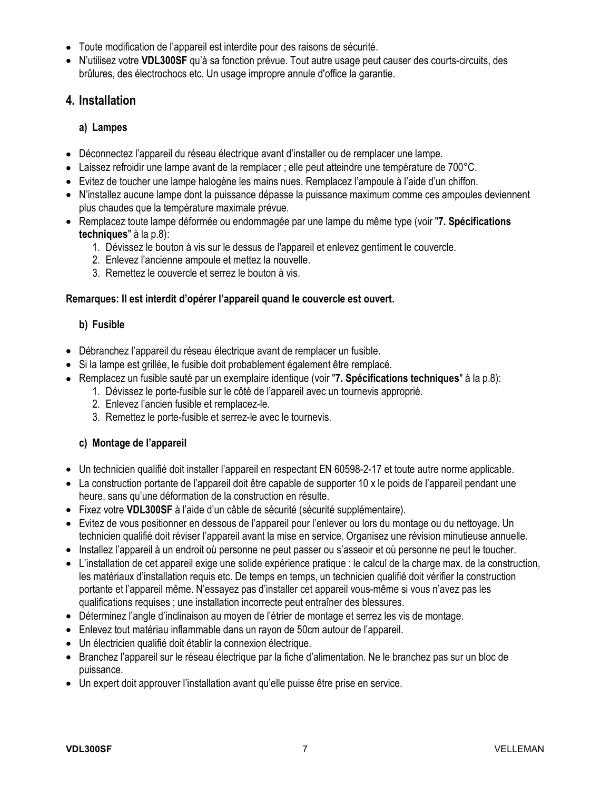- Toute modification de l'appareil est interdite pour des raisons de sécurité.
- N'utilisez votre **VDL300SF** qu'à sa fonction prévue. Tout autre usage peut causer des courts-circuits, des brûlures, des électrochocs etc. Un usage impropre annule d'office la garantie.

### **4. Installation**

#### **a) Lampes**

- Déconnectez l'appareil du réseau électrique avant d'installer ou de remplacer une lampe.
- Laissez refroidir une lampe avant de la remplacer ; elle peut atteindre une température de 700°C.
- Evitez de toucher une lampe halogène les mains nues. Remplacez l'ampoule à l'aide d'un chiffon.
- N'installez aucune lampe dont la puissance dépasse la puissance maximum comme ces ampoules deviennent plus chaudes que la température maximale prévue.
- Remplacez toute lampe déformée ou endommagée par une lampe du même type (voir "**7. Spécifications techniques**" à la p.8):
	- 1. Dévissez le bouton à vis sur le dessus de l'appareil et enlevez gentiment le couvercle.
	- 2. Enlevez l'ancienne ampoule et mettez la nouvelle.
	- 3. Remettez le couvercle et serrez le bouton à vis.

#### **Remarques: Il est interdit d'opérer l'appareil quand le couvercle est ouvert.**

#### **b) Fusible**

- Débranchez l'appareil du réseau électrique avant de remplacer un fusible.
- Si la lampe est grillée, le fusible doit probablement également être remplacé.
- Remplacez un fusible sauté par un exemplaire identique (voir "**7. Spécifications techniques**" à la p.8):
	- 1. Dévissez le porte-fusible sur le côté de l'appareil avec un tournevis approprié.
	- 2. Enlevez l'ancien fusible et remplacez-le.
	- 3. Remettez le porte-fusible et serrez-le avec le tournevis.

#### **c) Montage de l'appareil**

- Un technicien qualifié doit installer l'appareil en respectant EN 60598-2-17 et toute autre norme applicable.
- La construction portante de l'appareil doit être capable de supporter 10 x le poids de l'appareil pendant une heure, sans qu'une déformation de la construction en résulte.
- Fixez votre **VDL300SF** à l'aide d'un câble de sécurité (sécurité supplémentaire).
- Evitez de vous positionner en dessous de l'appareil pour l'enlever ou lors du montage ou du nettoyage. Un technicien qualifié doit réviser l'appareil avant la mise en service. Organisez une révision minutieuse annuelle.
- Installez l'appareil à un endroit où personne ne peut passer ou s'asseoir et où personne ne peut le toucher.
- L'installation de cet appareil exige une solide expérience pratique : le calcul de la charge max. de la construction, les matériaux d'installation requis etc. De temps en temps, un technicien qualifié doit vérifier la construction portante et l'appareil même. N'essayez pas d'installer cet appareil vous-même si vous n'avez pas les qualifications requises ; une installation incorrecte peut entraîner des blessures.
- Déterminez l'angle d'inclinaison au moyen de l'étrier de montage et serrez les vis de montage.
- Enlevez tout matériau inflammable dans un rayon de 50cm autour de l'appareil.
- Un électricien qualifié doit établir la connexion électrique.
- Branchez l'appareil sur le réseau électrique par la fiche d'alimentation. Ne le branchez pas sur un bloc de puissance.
- Un expert doit approuver l'installation avant qu'elle puisse être prise en service.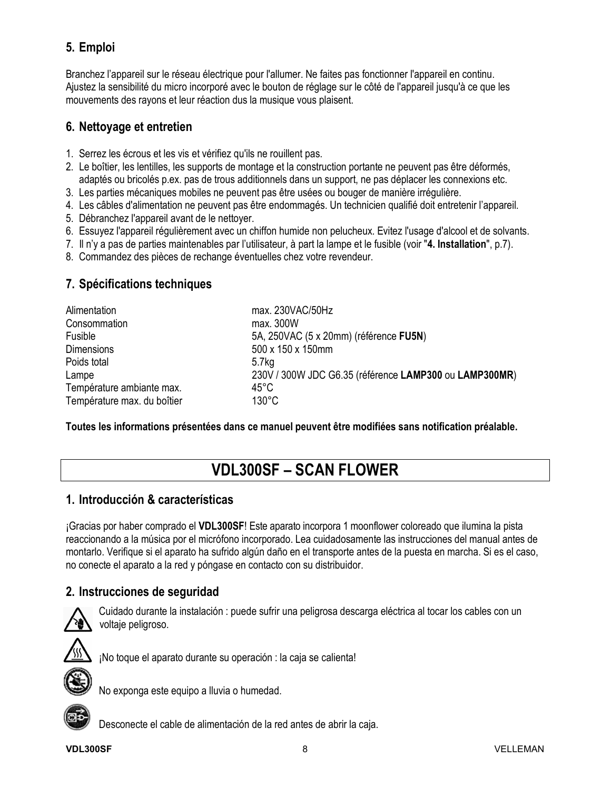# **5. Emploi**

Branchez l'appareil sur le réseau électrique pour l'allumer. Ne faites pas fonctionner l'appareil en continu. Ajustez la sensibilité du micro incorporé avec le bouton de réglage sur le côté de l'appareil jusqu'à ce que les mouvements des rayons et leur réaction dus la musique vous plaisent.

## **6. Nettoyage et entretien**

- 1. Serrez les écrous et les vis et vérifiez qu'ils ne rouillent pas.
- 2. Le boîtier, les lentilles, les supports de montage et la construction portante ne peuvent pas être déformés, adaptés ou bricolés p.ex. pas de trous additionnels dans un support, ne pas déplacer les connexions etc.
- 3. Les parties mécaniques mobiles ne peuvent pas être usées ou bouger de manière irrégulière.
- 4. Les câbles d'alimentation ne peuvent pas être endommagés. Un technicien qualifié doit entretenir l'appareil.
- 5. Débranchez l'appareil avant de le nettoyer.
- 6. Essuyez l'appareil régulièrement avec un chiffon humide non pelucheux. Evitez l'usage d'alcool et de solvants.
- 7. Il n'y a pas de parties maintenables par l'utilisateur, à part la lampe et le fusible (voir "**4. Installation**", p.7).
- 8. Commandez des pièces de rechange éventuelles chez votre revendeur.

## **7. Spécifications techniques**

| Alimentation                | max. 230VAC/50Hz                                       |
|-----------------------------|--------------------------------------------------------|
| Consommation                | max. 300W                                              |
| Fusible                     | 5A, 250VAC (5 x 20mm) (référence FU5N)                 |
| <b>Dimensions</b>           | 500 x 150 x 150mm                                      |
| Poids total                 | 5.7 <sub>kq</sub>                                      |
| Lampe                       | 230V / 300W JDC G6.35 (référence LAMP300 ou LAMP300MR) |
| Température ambiante max.   | 45°C                                                   |
| Température max. du boîtier | $130^{\circ}$ C                                        |

**Toutes les informations présentées dans ce manuel peuvent être modifiées sans notification préalable.** 

# **VDL300SF – SCAN FLOWER**

## **1. Introducción & características**

¡Gracias por haber comprado el **VDL300SF**! Este aparato incorpora 1 moonflower coloreado que ilumina la pista reaccionando a la música por el micrófono incorporado. Lea cuidadosamente las instrucciones del manual antes de montarlo. Verifique si el aparato ha sufrido algún daño en el transporte antes de la puesta en marcha. Si es el caso, no conecte el aparato a la red y póngase en contacto con su distribuidor.

## **2. Instrucciones de seguridad**



Cuidado durante la instalación : puede sufrir una peligrosa descarga eléctrica al tocar los cables con un voltaje peligroso.



¡No toque el aparato durante su operación : la caja se calienta!



No exponga este equipo a lluvia o humedad.

Desconecte el cable de alimentación de la red antes de abrir la caja.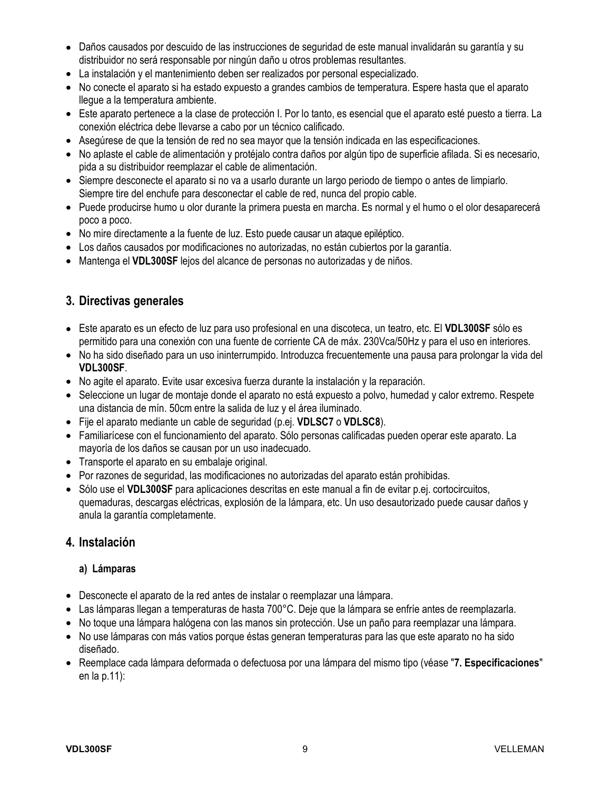- Daños causados por descuido de las instrucciones de seguridad de este manual invalidarán su garantía y su distribuidor no será responsable por ningún daño u otros problemas resultantes.
- La instalación y el mantenimiento deben ser realizados por personal especializado.
- No conecte el aparato si ha estado expuesto a grandes cambios de temperatura. Espere hasta que el aparato llegue a la temperatura ambiente.
- Este aparato pertenece a la clase de protección I. Por lo tanto, es esencial que el aparato esté puesto a tierra. La conexión eléctrica debe llevarse a cabo por un técnico calificado.
- Asegúrese de que la tensión de red no sea mayor que la tensión indicada en las especificaciones.
- No aplaste el cable de alimentación y protéjalo contra daños por algún tipo de superficie afilada. Si es necesario, pida a su distribuidor reemplazar el cable de alimentación.
- Siempre desconecte el aparato si no va a usarlo durante un largo periodo de tiempo o antes de limpiarlo. Siempre tire del enchufe para desconectar el cable de red, nunca del propio cable.
- Puede producirse humo u olor durante la primera puesta en marcha. Es normal y el humo o el olor desaparecerá poco a poco.
- No mire directamente a la fuente de luz. Esto puede causar un ataque epiléptico.
- Los daños causados por modificaciones no autorizadas, no están cubiertos por la garantía.
- Mantenga el **VDL300SF** lejos del alcance de personas no autorizadas y de niños.

### **3. Directivas generales**

- Este aparato es un efecto de luz para uso profesional en una discoteca, un teatro, etc. El **VDL300SF** sólo es permitido para una conexión con una fuente de corriente CA de máx. 230Vca/50Hz y para el uso en interiores.
- No ha sido diseñado para un uso ininterrumpido. Introduzca frecuentemente una pausa para prolongar la vida del **VDL300SF**.
- No agite el aparato. Evite usar excesiva fuerza durante la instalación y la reparación.
- Seleccione un lugar de montaje donde el aparato no está expuesto a polvo, humedad y calor extremo. Respete una distancia de mín. 50cm entre la salida de luz y el área iluminado.
- Fije el aparato mediante un cable de seguridad (p.ej. **VDLSC7** o **VDLSC8**).
- Familiarícese con el funcionamiento del aparato. Sólo personas calificadas pueden operar este aparato. La mayoría de los daños se causan por un uso inadecuado.
- Transporte el aparato en su embalaje original.
- Por razones de seguridad, las modificaciones no autorizadas del aparato están prohibidas.
- Sólo use el **VDL300SF** para aplicaciones descritas en este manual a fin de evitar p.ej. cortocircuitos, quemaduras, descargas eléctricas, explosión de la lámpara, etc. Un uso desautorizado puede causar daños y anula la garantía completamente.

#### **4. Instalación**

#### **a) Lámparas**

- Desconecte el aparato de la red antes de instalar o reemplazar una lámpara.
- Las lámparas llegan a temperaturas de hasta 700°C. Deje que la lámpara se enfríe antes de reemplazarla.
- No toque una lámpara halógena con las manos sin protección. Use un paño para reemplazar una lámpara.
- No use lámparas con más vatios porque éstas generan temperaturas para las que este aparato no ha sido diseñado.
- Reemplace cada lámpara deformada o defectuosa por una lámpara del mismo tipo (véase "**7. Especificaciones**" en la p.11):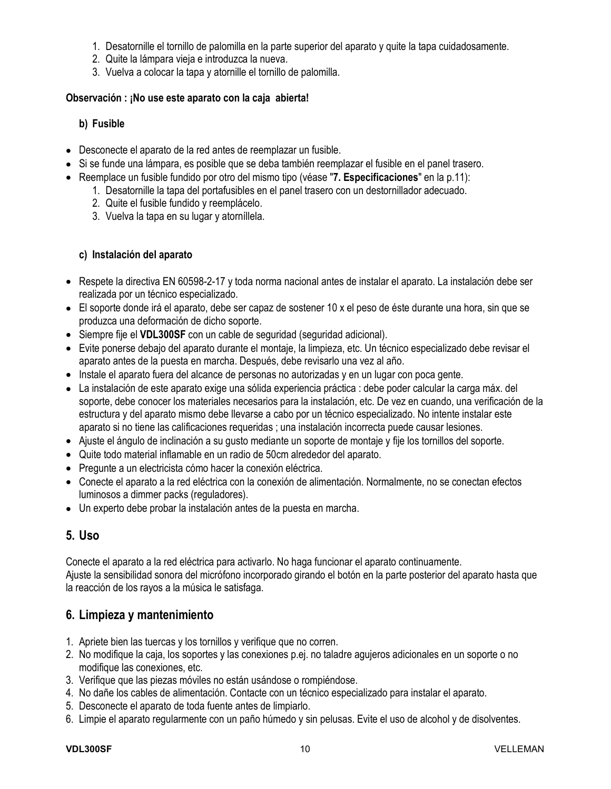- 1. Desatornille el tornillo de palomilla en la parte superior del aparato y quite la tapa cuidadosamente.
- 2. Quite la lámpara vieja e introduzca la nueva.
- 3. Vuelva a colocar la tapa y atornille el tornillo de palomilla.

#### **Observación : ¡No use este aparato con la caja abierta!**

#### **b) Fusible**

- Desconecte el aparato de la red antes de reemplazar un fusible.
- Si se funde una lámpara, es posible que se deba también reemplazar el fusible en el panel trasero.
- Reemplace un fusible fundido por otro del mismo tipo (véase "**7. Especificaciones**" en la p.11):
	- 1. Desatornille la tapa del portafusibles en el panel trasero con un destornillador adecuado.
	- 2. Quite el fusible fundido y reemplácelo.
	- 3. Vuelva la tapa en su lugar y atorníllela.

#### **c) Instalación del aparato**

- Respete la directiva EN 60598-2-17 y toda norma nacional antes de instalar el aparato. La instalación debe ser realizada por un técnico especializado.
- El soporte donde irá el aparato, debe ser capaz de sostener 10 x el peso de éste durante una hora, sin que se produzca una deformación de dicho soporte.
- Siempre fije el **VDL300SF** con un cable de seguridad (seguridad adicional).
- Evite ponerse debajo del aparato durante el montaje, la limpieza, etc. Un técnico especializado debe revisar el aparato antes de la puesta en marcha. Después, debe revisarlo una vez al año.
- Instale el aparato fuera del alcance de personas no autorizadas y en un lugar con poca gente.
- La instalación de este aparato exige una sólida experiencia práctica : debe poder calcular la carga máx. del soporte, debe conocer los materiales necesarios para la instalación, etc. De vez en cuando, una verificación de la estructura y del aparato mismo debe llevarse a cabo por un técnico especializado. No intente instalar este aparato si no tiene las calificaciones requeridas ; una instalación incorrecta puede causar lesiones.
- Ajuste el ángulo de inclinación a su gusto mediante un soporte de montaje y fije los tornillos del soporte.
- Quite todo material inflamable en un radio de 50cm alrededor del aparato.
- Pregunte a un electricista cómo hacer la conexión eléctrica.
- Conecte el aparato a la red eléctrica con la conexión de alimentación. Normalmente, no se conectan efectos luminosos a dimmer packs (reguladores).
- Un experto debe probar la instalación antes de la puesta en marcha.

#### **5. Uso**

Conecte el aparato a la red eléctrica para activarlo. No haga funcionar el aparato continuamente. Ajuste la sensibilidad sonora del micrófono incorporado girando el botón en la parte posterior del aparato hasta que la reacción de los rayos a la música le satisfaga.

#### **6. Limpieza y mantenimiento**

- 1. Apriete bien las tuercas y los tornillos y verifique que no corren.
- 2. No modifique la caja, los soportes y las conexiones p.ej. no taladre agujeros adicionales en un soporte o no modifique las conexiones, etc.
- 3. Verifique que las piezas móviles no están usándose o rompiéndose.
- 4. No dañe los cables de alimentación. Contacte con un técnico especializado para instalar el aparato.
- 5. Desconecte el aparato de toda fuente antes de limpiarlo.
- 6. Limpie el aparato regularmente con un paño húmedo y sin pelusas. Evite el uso de alcohol y de disolventes.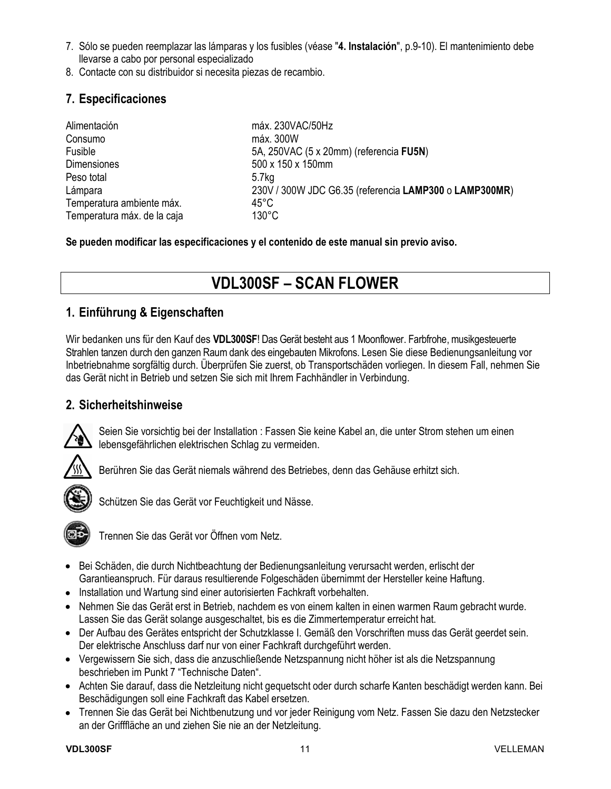- 7. Sólo se pueden reemplazar las lámparas y los fusibles (véase "**4. Instalación**", p.9-10). El mantenimiento debe llevarse a cabo por personal especializado
- 8. Contacte con su distribuidor si necesita piezas de recambio.

## **7. Especificaciones**

| Alimentación                | máx. 230VAC/50Hz                                       |
|-----------------------------|--------------------------------------------------------|
| Consumo                     | máx. 300W                                              |
| Fusible                     | 5A, 250VAC (5 x 20mm) (referencia FU5N)                |
| <b>Dimensiones</b>          | 500 x 150 x 150mm                                      |
| Peso total                  | 5.7 <sub>kg</sub>                                      |
| Lámpara                     | 230V / 300W JDC G6.35 (referencia LAMP300 o LAMP300MR) |
| Temperatura ambiente máx.   | 45°C                                                   |
| Temperatura máx. de la caja | $130^{\circ}$ C                                        |

**Se pueden modificar las especificaciones y el contenido de este manual sin previo aviso.** 

# **VDL300SF – SCAN FLOWER**

## **1. Einführung & Eigenschaften**

Wir bedanken uns für den Kauf des **VDL300SF**! Das Gerät besteht aus 1 Moonflower. Farbfrohe, musikgesteuerte Strahlen tanzen durch den ganzen Raum dank des eingebauten Mikrofons. Lesen Sie diese Bedienungsanleitung vor Inbetriebnahme sorgfältig durch. Überprüfen Sie zuerst, ob Transportschäden vorliegen. In diesem Fall, nehmen Sie das Gerät nicht in Betrieb und setzen Sie sich mit Ihrem Fachhändler in Verbindung.

## **2. Sicherheitshinweise**



Seien Sie vorsichtig bei der Installation : Fassen Sie keine Kabel an, die unter Strom stehen um einen lebensgefährlichen elektrischen Schlag zu vermeiden.



Berühren Sie das Gerät niemals während des Betriebes, denn das Gehäuse erhitzt sich.



Schützen Sie das Gerät vor Feuchtigkeit und Nässe.



Trennen Sie das Gerät vor Öffnen vom Netz.

- Bei Schäden, die durch Nichtbeachtung der Bedienungsanleitung verursacht werden, erlischt der Garantieanspruch. Für daraus resultierende Folgeschäden übernimmt der Hersteller keine Haftung.
- Installation und Wartung sind einer autorisierten Fachkraft vorbehalten.
- Nehmen Sie das Gerät erst in Betrieb, nachdem es von einem kalten in einen warmen Raum gebracht wurde. Lassen Sie das Gerät solange ausgeschaltet, bis es die Zimmertemperatur erreicht hat.
- Der Aufbau des Gerätes entspricht der Schutzklasse I. Gemäß den Vorschriften muss das Gerät geerdet sein. Der elektrische Anschluss darf nur von einer Fachkraft durchgeführt werden.
- Vergewissern Sie sich, dass die anzuschließende Netzspannung nicht höher ist als die Netzspannung beschrieben im Punkt 7 "Technische Daten".
- Achten Sie darauf, dass die Netzleitung nicht gequetscht oder durch scharfe Kanten beschädigt werden kann. Bei Beschädigungen soll eine Fachkraft das Kabel ersetzen.
- Trennen Sie das Gerät bei Nichtbenutzung und vor jeder Reinigung vom Netz. Fassen Sie dazu den Netzstecker an der Grifffläche an und ziehen Sie nie an der Netzleitung.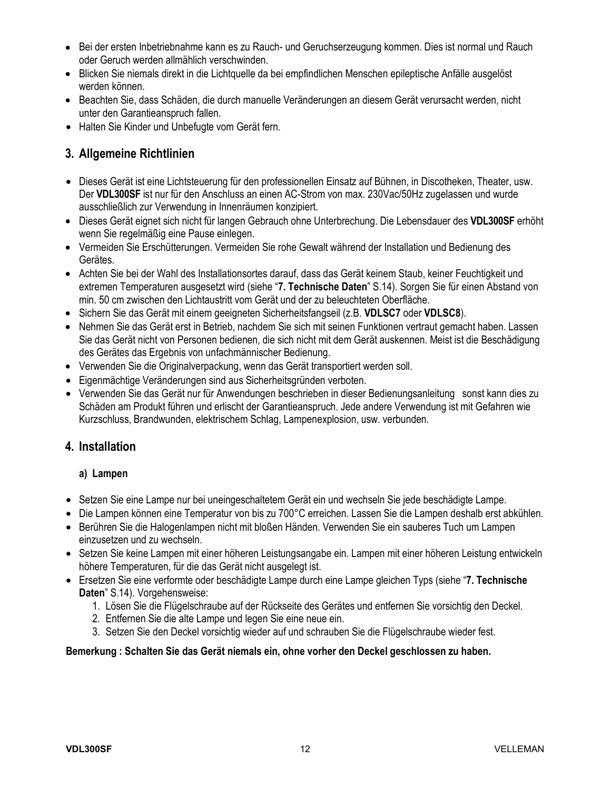- Bei der ersten Inbetriebnahme kann es zu Rauch- und Geruchserzeugung kommen. Dies ist normal und Rauch oder Geruch werden allmählich verschwinden.
- Blicken Sie niemals direkt in die Lichtquelle da bei empfindlichen Menschen epileptische Anfälle ausgelöst werden können.
- Beachten Sie, dass Schäden, die durch manuelle Veränderungen an diesem Gerät verursacht werden, nicht unter den Garantieanspruch fallen.
- Halten Sie Kinder und Unbefugte vom Gerät fern.

## **3. Allgemeine Richtlinien**

- Dieses Gerät ist eine Lichtsteuerung für den professionellen Einsatz auf Bühnen, in Discotheken, Theater, usw. Der **VDL300SF** ist nur für den Anschluss an einen AC-Strom von max. 230Vac/50Hz zugelassen und wurde ausschließlich zur Verwendung in Innenräumen konzipiert.
- Dieses Gerät eignet sich nicht für langen Gebrauch ohne Unterbrechung. Die Lebensdauer des **VDL300SF** erhöht wenn Sie regelmäßig eine Pause einlegen.
- Vermeiden Sie Erschütterungen. Vermeiden Sie rohe Gewalt während der Installation und Bedienung des Gerätes.
- Achten Sie bei der Wahl des Installationsortes darauf, dass das Gerät keinem Staub, keiner Feuchtigkeit und extremen Temperaturen ausgesetzt wird (siehe "**7. Technische Daten**" S.14). Sorgen Sie für einen Abstand von min. 50 cm zwischen den Lichtaustritt vom Gerät und der zu beleuchteten Oberfläche.
- Sichern Sie das Gerät mit einem geeigneten Sicherheitsfangseil (z.B. **VDLSC7** oder **VDLSC8**).
- Nehmen Sie das Gerät erst in Betrieb, nachdem Sie sich mit seinen Funktionen vertraut gemacht haben. Lassen Sie das Gerät nicht von Personen bedienen, die sich nicht mit dem Gerät auskennen. Meist ist die Beschädigung des Gerätes das Ergebnis von unfachmännischer Bedienung.
- Verwenden Sie die Originalverpackung, wenn das Gerät transportiert werden soll.
- Eigenmächtige Veränderungen sind aus Sicherheitsgründen verboten.
- Verwenden Sie das Gerät nur für Anwendungen beschrieben in dieser Bedienungsanleitung sonst kann dies zu Schäden am Produkt führen und erlischt der Garantieanspruch. Jede andere Verwendung ist mit Gefahren wie Kurzschluss, Brandwunden, elektrischem Schlag, Lampenexplosion, usw. verbunden.

## **4. Installation**

#### **a) Lampen**

- Setzen Sie eine Lampe nur bei uneingeschaltetem Gerät ein und wechseln Sie jede beschädigte Lampe.
- Die Lampen können eine Temperatur von bis zu 700°C erreichen. Lassen Sie die Lampen deshalb erst abkühlen.
- Berühren Sie die Halogenlampen nicht mit bloßen Händen. Verwenden Sie ein sauberes Tuch um Lampen einzusetzen und zu wechseln.
- Setzen Sie keine Lampen mit einer höheren Leistungsangabe ein. Lampen mit einer höheren Leistung entwickeln höhere Temperaturen, für die das Gerät nicht ausgelegt ist.
- Ersetzen Sie eine verformte oder beschädigte Lampe durch eine Lampe gleichen Typs (siehe "**7. Technische Daten**" S.14). Vorgehensweise:
	- 1. Lösen Sie die Flügelschraube auf der Rückseite des Gerätes und entfernen Sie vorsichtig den Deckel.
	- 2. Entfernen Sie die alte Lampe und legen Sie eine neue ein.
	- 3. Setzen Sie den Deckel vorsichtig wieder auf und schrauben Sie die Flügelschraube wieder fest.

#### **Bemerkung : Schalten Sie das Gerät niemals ein, ohne vorher den Deckel geschlossen zu haben.**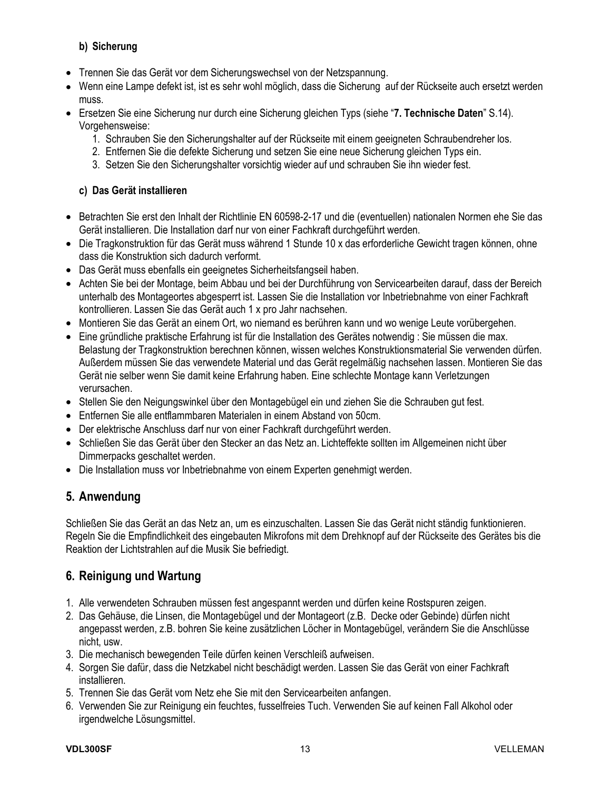### **b) Sicherung**

- Trennen Sie das Gerät vor dem Sicherungswechsel von der Netzspannung.
- Wenn eine Lampe defekt ist, ist es sehr wohl möglich, dass die Sicherung auf der Rückseite auch ersetzt werden muss.
- Ersetzen Sie eine Sicherung nur durch eine Sicherung gleichen Typs (siehe "**7. Technische Daten**" S.14). Vorgehensweise:
	- 1. Schrauben Sie den Sicherungshalter auf der Rückseite mit einem geeigneten Schraubendreher los.
	- 2. Entfernen Sie die defekte Sicherung und setzen Sie eine neue Sicherung gleichen Typs ein.
	- 3. Setzen Sie den Sicherungshalter vorsichtig wieder auf und schrauben Sie ihn wieder fest.

#### **c) Das Gerät installieren**

- Betrachten Sie erst den Inhalt der Richtlinie EN 60598-2-17 und die (eventuellen) nationalen Normen ehe Sie das Gerät installieren. Die Installation darf nur von einer Fachkraft durchgeführt werden.
- Die Tragkonstruktion für das Gerät muss während 1 Stunde 10 x das erforderliche Gewicht tragen können, ohne dass die Konstruktion sich dadurch verformt.
- Das Gerät muss ebenfalls ein geeignetes Sicherheitsfangseil haben.
- Achten Sie bei der Montage, beim Abbau und bei der Durchführung von Servicearbeiten darauf, dass der Bereich unterhalb des Montageortes abgesperrt ist. Lassen Sie die Installation vor Inbetriebnahme von einer Fachkraft kontrollieren. Lassen Sie das Gerät auch 1 x pro Jahr nachsehen.
- Montieren Sie das Gerät an einem Ort, wo niemand es berühren kann und wo wenige Leute vorübergehen.
- Eine gründliche praktische Erfahrung ist für die Installation des Gerätes notwendig : Sie müssen die max. Belastung der Tragkonstruktion berechnen können, wissen welches Konstruktionsmaterial Sie verwenden dürfen. Außerdem müssen Sie das verwendete Material und das Gerät regelmäßig nachsehen lassen. Montieren Sie das Gerät nie selber wenn Sie damit keine Erfahrung haben. Eine schlechte Montage kann Verletzungen verursachen.
- Stellen Sie den Neigungswinkel über den Montagebügel ein und ziehen Sie die Schrauben gut fest.
- Entfernen Sie alle entflammbaren Materialen in einem Abstand von 50cm.
- Der elektrische Anschluss darf nur von einer Fachkraft durchgeführt werden.
- Schließen Sie das Gerät über den Stecker an das Netz an. Lichteffekte sollten im Allgemeinen nicht über Dimmerpacks geschaltet werden.
- Die Installation muss vor Inbetriebnahme von einem Experten genehmigt werden.

## **5. Anwendung**

Schließen Sie das Gerät an das Netz an, um es einzuschalten. Lassen Sie das Gerät nicht ständig funktionieren. Regeln Sie die Empfindlichkeit des eingebauten Mikrofons mit dem Drehknopf auf der Rückseite des Gerätes bis die Reaktion der Lichtstrahlen auf die Musik Sie befriedigt.

## **6. Reinigung und Wartung**

- 1. Alle verwendeten Schrauben müssen fest angespannt werden und dürfen keine Rostspuren zeigen.
- 2. Das Gehäuse, die Linsen, die Montagebügel und der Montageort (z.B. Decke oder Gebinde) dürfen nicht angepasst werden, z.B. bohren Sie keine zusätzlichen Löcher in Montagebügel, verändern Sie die Anschlüsse nicht, usw.
- 3. Die mechanisch bewegenden Teile dürfen keinen Verschleiß aufweisen.
- 4. Sorgen Sie dafür, dass die Netzkabel nicht beschädigt werden. Lassen Sie das Gerät von einer Fachkraft installieren.
- 5. Trennen Sie das Gerät vom Netz ehe Sie mit den Servicearbeiten anfangen.
- 6. Verwenden Sie zur Reinigung ein feuchtes, fusselfreies Tuch. Verwenden Sie auf keinen Fall Alkohol oder irgendwelche Lösungsmittel.